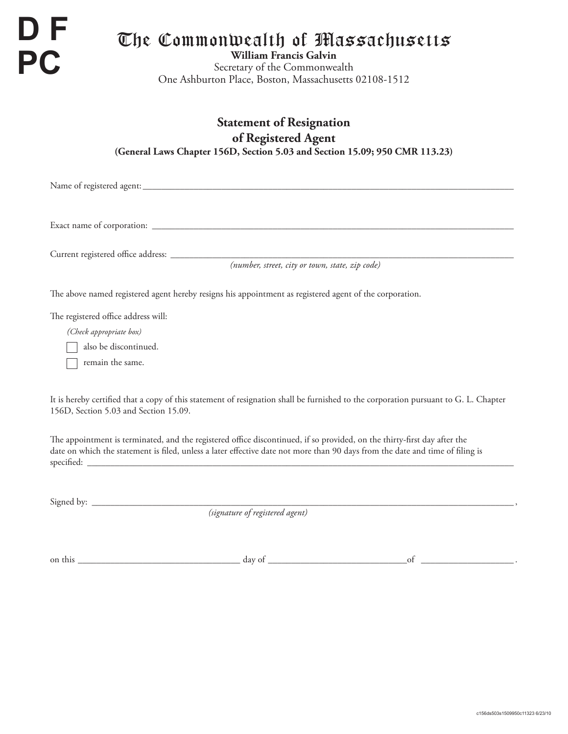**D F PC**

# The Commonwealth of Massachusetts

**William Francis Galvin** Secretary of the Commonwealth One Ashburton Place, Boston, Massachusetts 02108-1512

## **Statement of Resignation of Registered Agent (General Laws Chapter 156D, Section 5.03 and Section 15.09; 950 CMR 113.23)**

Name of registered agent: \_\_\_\_\_\_\_\_\_\_\_\_\_\_\_\_\_\_\_\_\_\_\_\_\_\_\_\_\_\_\_\_\_\_\_\_\_\_\_\_\_\_\_\_\_\_\_\_\_\_\_\_\_\_\_\_\_\_\_\_\_\_\_\_\_\_\_\_\_\_\_\_\_\_\_\_\_\_\_\_

Exact name of corporation: \_\_\_\_\_\_\_\_\_\_\_\_\_\_\_\_\_\_\_\_\_\_\_\_\_\_\_\_\_\_\_\_\_\_\_\_\_\_\_\_\_\_\_\_\_\_\_\_\_\_\_\_\_\_\_\_\_\_\_\_\_\_\_\_\_\_\_\_\_\_\_\_\_\_\_\_\_\_

Current registered office address: \_\_\_\_\_\_\_\_\_\_\_\_\_\_\_\_\_\_\_\_\_\_\_\_\_\_\_\_\_\_\_\_\_\_\_\_\_\_\_\_\_\_\_\_\_\_\_\_\_\_\_\_\_\_\_\_\_\_\_\_\_\_\_\_\_\_\_\_\_\_\_\_\_\_

*(number, street, city or town, state, zip code)*

The above named registered agent hereby resigns his appointment as registered agent of the corporation.

The registered office address will:

*(Check appropriate box)*

also be discontinued.

T remain the same.

It is hereby certified that a copy of this statement of resignation shall be furnished to the corporation pursuant to G. L. Chapter 156D, Section 5.03 and Section 15.09.

The appointment is terminated, and the registered office discontinued, if so provided, on the thirty-first day after the date on which the statement is filed, unless a later effective date not more than 90 days from the date and time of filing is  $s$  pecified:

Signed by: \_\_\_\_\_\_\_\_\_\_\_\_\_\_\_\_\_\_\_\_\_\_\_\_\_\_\_\_\_\_\_\_\_\_\_\_\_\_\_\_\_\_\_\_\_\_\_\_\_\_\_\_\_\_\_\_\_\_\_\_\_\_\_\_\_\_\_\_\_\_\_\_\_\_\_\_\_\_\_\_\_\_\_\_\_\_\_\_\_\_\_ ,

*(signature of registered agent)*

on this \_\_\_\_\_\_\_\_\_\_\_\_\_\_\_\_\_\_\_\_\_\_\_\_\_\_\_\_\_\_\_\_\_\_\_ day of \_\_\_\_\_\_\_\_\_\_\_\_\_\_\_\_\_\_\_\_\_\_\_\_\_\_\_\_\_\_of \_\_\_\_\_\_\_\_\_\_\_\_\_\_\_\_\_\_\_\_ .